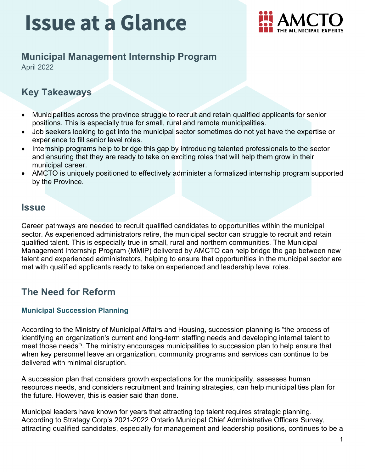

## **Municipal Management Internship Program**

April 2022

### **Key Takeaways**

- Municipalities across the province struggle to recruit and retain qualified applicants for senior positions. This is especially true for small, rural and remote municipalities.
- Job seekers looking to get into the municipal sector sometimes do not yet have the expertise or experience to fill senior level roles.
- Internship programs help to bridge this gap by introducing talented professionals to the sector and ensuring that they are ready to take on exciting roles that will help them grow in their municipal career.
- AMCTO is uniquely positioned to effectively administer a formalized internship program supported by the Province.

### **Issue**

Career pathways are needed to recruit qualified candidates to opportunities within the municipal sector. As experienced administrators retire, the municipal sector can struggle to recruit and retain qualified talent. This is especially true in small, rural and northern communities. The Municipal Management Internship Program (MMIP) delivered by AMCTO can help bridge the gap between new talent and experienced administrators, helping to ensure that opportunities in the municipal sector are met with qualified applicants ready to take on experienced and leadership level roles.

### **The Need for Reform**

#### **Municipal Succession Planning**

According to the Ministry of Municipal Affairs and Housing, succession planning is "the process of identifying an organization's current and long-term staffing needs and developing internal talent to meet those needs"<sup>[i](#page-3-0)</sup>. The ministry encourages municipalities to succession plan to help ensure that when key personnel leave an organization, community programs and services can continue to be delivered with minimal disruption.

A succession plan that considers growth expectations for the municipality, assesses human resources needs, and considers recruitment and training strategies, can help municipalities plan for the future. However, this is easier said than done.

Municipal leaders have known for years that attracting top talent requires strategic planning. According to Strategy Corp's 2021-2022 Ontario Municipal Chief Administrative Officers Survey, attracting qualified candidates, especially for management and leadership positions, continues to be a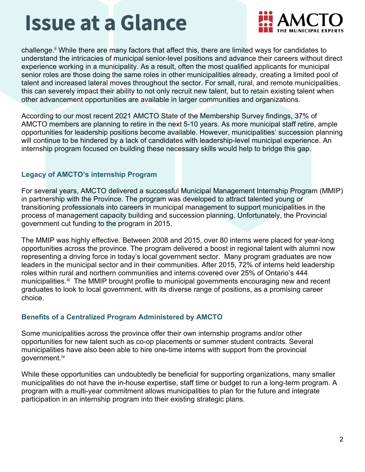

challenge.<sup>[ii](#page-3-1)</sup> While there are many factors that affect this, there are limited ways for candidates to understand the intricacies of municipal senior-level positions and advance their careers without direct experience working in a municipality. As a result, often the most qualified applicants for municipal senior roles are those doing the same roles in other municipalities already, creating a limited pool of talent and increased lateral moves throughout the sector. For small, rural, and remote municipalities, this can severely impact their ability to not only recruit new talent, but to retain existing talent when other advancement opportunities are available in larger communities and organizations.

According to our most recent 2021 AMCTO State of the Membership Survey findings, 37% of AMCTO members are planning to retire in the next 5-10 years. As more municipal staff retire, ample opportunities for leadership positions become available. However, municipalities' succession planning will continue to be hindered by a lack of candidates with leadership-level municipal experience. An internship program focused on building these necessary skills would help to bridge this gap.

#### **Legacy of AMCTO's internship Program**

For several years, AMCTO delivered a successful Municipal Management Internship Program (MMIP) in partnership with the Province. The program was developed to attract talented young or transitioning professionals into careers in municipal management to support municipalities in the process of management capacity building and succession planning. Unfortunately, the Provincial government cut funding to the program in 2015.

The MMIP was highly effective. Between 2008 and 2015, over 80 interns were placed for year-long opportunities across the province. The program delivered a boost in regional talent with alumni now representing a driving force in today's local government sector. Many program graduates are now leaders in the municipal sector and in their communities. After 2015, 72% of interns held leadership roles within rural and northern communities and interns covered over 25% of Ontario's 444 municipalities.<sup>[iii](#page-3-2)</sup> The MMIP brought profile to municipal governments encouraging new and recent graduates to look to local government, with its diverse range of positions, as a promising career choice.

#### **Benefits of a Centralized Program Administered by AMCTO**

Some municipalities across the province offer their own internship programs and/or other opportunities for new talent such as co-op placements or summer student contracts. Several municipalities have also been able to hire one-time interns with support from the provincial government.[iv](#page-3-3)

While these opportunities can undoubtedly be beneficial for supporting organizations, many smaller municipalities do not have the in-house expertise, staff time or budget to run a long-term program. A program with a multi-year commitment allows municipalities to plan for the future and integrate participation in an internship program into their existing strategic plans.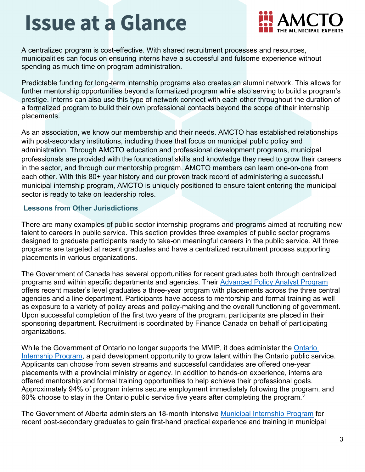

A centralized program is cost-effective. With shared recruitment processes and resources, municipalities can focus on ensuring interns have a successful and fulsome experience without spending as much time on program administration.

Predictable funding for long-term internship programs also creates an alumni network. This allows for further mentorship opportunities beyond a formalized program while also serving to build a program's prestige. Interns can also use this type of network connect with each other throughout the duration of a formalized program to build their own professional contacts beyond the scope of their internship placements.

As an association, we know our membership and their needs. AMCTO has established relationships with post-secondary institutions, including those that focus on municipal public policy and administration. Through AMCTO education and professional development programs, municipal professionals are provided with the foundational skills and knowledge they need to grow their careers in the sector, and through our mentorship program, AMCTO members can learn one-on-one from each other. With this 80+ year history and our proven track record of administering a successful municipal internship program, AMCTO is uniquely positioned to ensure talent entering the municipal sector is ready to take on leadership roles.

#### **Lessons from Other Jurisdictions**

There are many examples of public sector internship programs and programs aimed at recruiting new talent to careers in public service. This section provides three examples of public sector programs designed to graduate participants ready to take-on meaningful careers in the public service. All three programs are targeted at recent graduates and have a centralized recruitment process supporting placements in various organizations.

The Government of Canada has several opportunities for recent graduates both through centralized programs and within specific departments and agencies. Their [Advanced Policy Analyst Program](https://www.csps-efpc.gc.ca/catalogue/programs/apap-eng.aspx) offers recent master's level graduates a three-year program with placements across the three central agencies and a line department. Participants have access to mentorship and formal training as well as exposure to a variety of policy areas and policy-making and the overall functioning of government. Upon successful completion of the first two years of the program, participants are placed in their sponsoring department. Recruitment is coordinated by Finance Canada on behalf of participating organizations.

While the Government of Ontario no longer supports the MMIP, it does administer the [Ontario](https://www.internship.gov.on.ca/mbs/sdb/intern.nsf/lkpwebcontent/epublishedhome)  [Internship Program,](https://www.internship.gov.on.ca/mbs/sdb/intern.nsf/lkpwebcontent/epublishedhome) a paid development opportunity to grow talent within the Ontario public service. Applicants can choose from seven streams and successful candidates are offered one-year placements with a provincial ministry or agency. In addition to hands-on experience, interns are offered mentorship and formal training opportunities to help achieve their professional goals. Approximately 94% of program interns secure employment immediately following the program, and 60% choose to stay in the Ontario public ser[v](#page-3-4)ice five years after completing the program. $v$ 

The Government of Alberta administers an 18-month intensive [Municipal Internship Program](https://www.alberta.ca/municipal-internship-program.aspx) for recent post-secondary graduates to gain first-hand practical experience and training in municipal